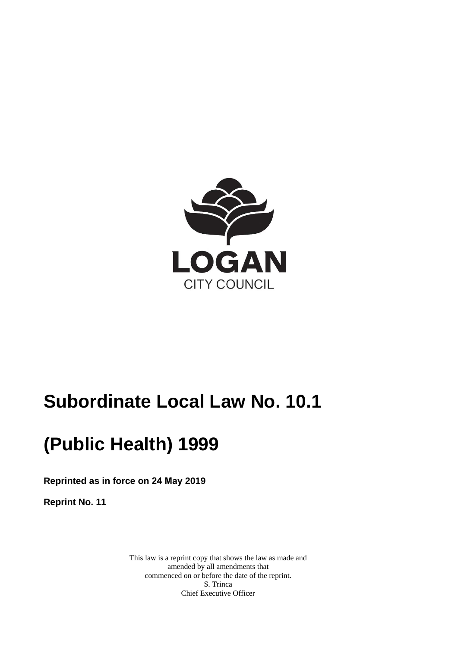

# **Subordinate Local Law No. 10.1**

# **(Public Health) 1999**

**Reprinted as in force on 24 May 2019** 

**Reprint No. 11** 

This law is a reprint copy that shows the law as made and amended by all amendments that commenced on or before the date of the reprint. S. Trinca Chief Executive Officer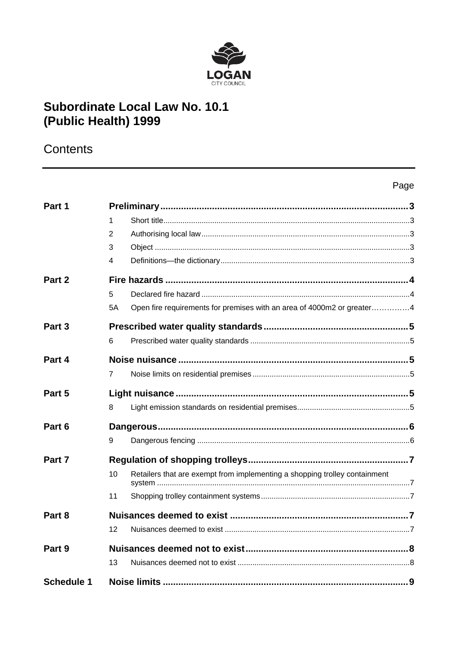

## Subordinate Local Law No. 10.1 (Public Health) 1999

### Contents

| Part 1            |                                                                                  |  |
|-------------------|----------------------------------------------------------------------------------|--|
|                   | 1                                                                                |  |
|                   | 2                                                                                |  |
|                   | 3                                                                                |  |
|                   | 4                                                                                |  |
| Part 2            |                                                                                  |  |
|                   | 5                                                                                |  |
|                   | Open fire requirements for premises with an area of 4000m2 or greater4<br>5A     |  |
| Part 3            |                                                                                  |  |
|                   | 6                                                                                |  |
| Part 4            |                                                                                  |  |
|                   | $\overline{7}$                                                                   |  |
| Part 5            |                                                                                  |  |
|                   | 8                                                                                |  |
| Part 6            |                                                                                  |  |
|                   | 9                                                                                |  |
| Part 7            |                                                                                  |  |
|                   | Retailers that are exempt from implementing a shopping trolley containment<br>10 |  |
|                   | 11                                                                               |  |
| Part 8            |                                                                                  |  |
|                   | 12                                                                               |  |
| Part 9            |                                                                                  |  |
|                   | 13                                                                               |  |
| <b>Schedule 1</b> |                                                                                  |  |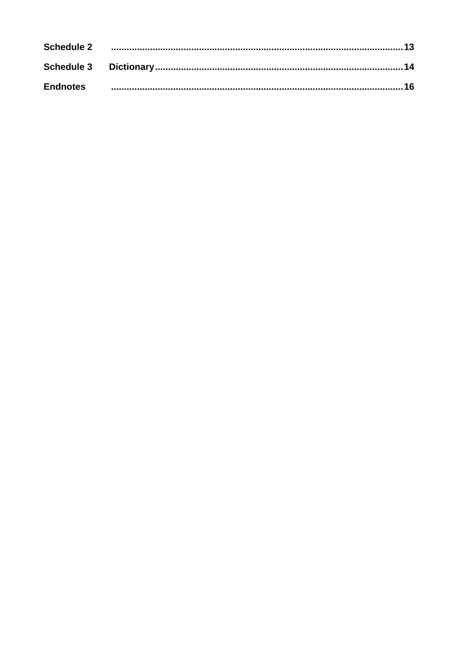|                 | Schedule 2 <u>www.marror.com/marror.com/marror.com/marror.com/marror.ext/1</u> 3 |  |
|-----------------|----------------------------------------------------------------------------------|--|
|                 |                                                                                  |  |
| <b>Endnotes</b> |                                                                                  |  |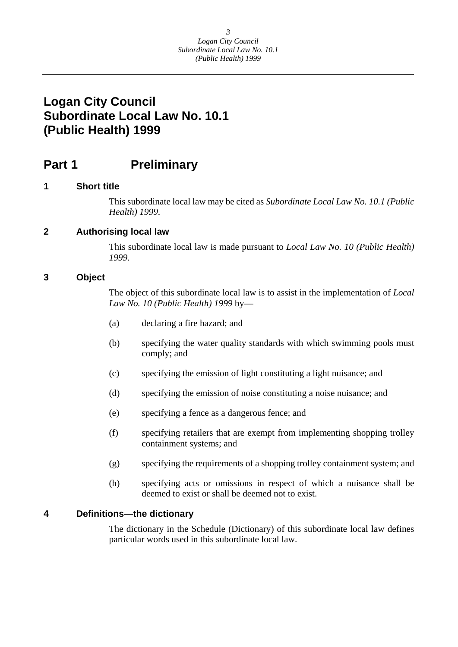### <span id="page-3-0"></span>**Part 1 Preliminary**

#### **1 Short title**

This subordinate local law may be cited as *Subordinate Local Law No. 10.1 (Public Health) 1999*.

#### **2 Authorising local law**

This subordinate local law is made pursuant to *Local Law No. 10 (Public Health) 1999.* 

#### **3 Object**

The object of this subordinate local law is to assist in the implementation of *Local Law No. 10 (Public Health) 1999* by—

- (a) declaring a fire hazard; and
- (b) specifying the water quality standards with which swimming pools must comply; and
- (c) specifying the emission of light constituting a light nuisance; and
- (d) specifying the emission of noise constituting a noise nuisance; and
- (e) specifying a fence as a dangerous fence; and
- (f) specifying retailers that are exempt from implementing shopping trolley containment systems; and
- (g) specifying the requirements of a shopping trolley containment system; and
- (h) specifying acts or omissions in respect of which a nuisance shall be deemed to exist or shall be deemed not to exist.

#### **4 Definitions—the dictionary**

The dictionary in the Schedule (Dictionary) of this subordinate local law defines particular words used in this subordinate local law.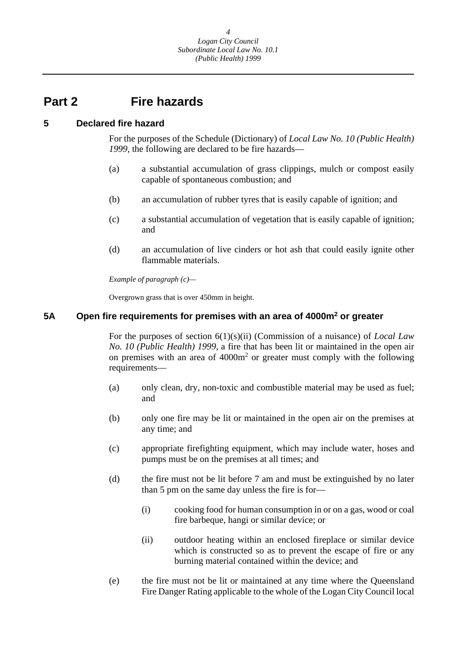### <span id="page-4-0"></span>**Part 2 Fire hazards**

#### **5 Declared fire hazard**

For the purposes of the Schedule (Dictionary) of *Local Law No. 10 (Public Health) 1999,* the following are declared to be fire hazards—

- (a) a substantial accumulation of grass clippings, mulch or compost easily capable of spontaneous combustion; and
- (b) an accumulation of rubber tyres that is easily capable of ignition; and
- (c) a substantial accumulation of vegetation that is easily capable of ignition; and
- (d) an accumulation of live cinders or hot ash that could easily ignite other flammable materials.

 *Example of paragraph (c)—* 

Overgrown grass that is over 450mm in height.

#### **5A Open fire requirements for premises with an area of 4000m2 or greater**

For the purposes of section 6(1)(s)(ii) (Commission of a nuisance) of *Local Law No. 10 (Public Health) 1999*, a fire that has been lit or maintained in the open air on premises with an area of  $4000m<sup>2</sup>$  or greater must comply with the following requirements—

- (a) only clean, dry, non-toxic and combustible material may be used as fuel; and
- (b) only one fire may be lit or maintained in the open air on the premises at any time; and
- (c) appropriate firefighting equipment, which may include water, hoses and pumps must be on the premises at all times; and
- (d) the fire must not be lit before 7 am and must be extinguished by no later than 5 pm on the same day unless the fire is for—
	- (i) cooking food for human consumption in or on a gas, wood or coal fire barbeque, hangi or similar device; or
	- (ii) outdoor heating within an enclosed fireplace or similar device which is constructed so as to prevent the escape of fire or any burning material contained within the device; and
- (e) the fire must not be lit or maintained at any time where the Queensland Fire Danger Rating applicable to the whole of the Logan City Council local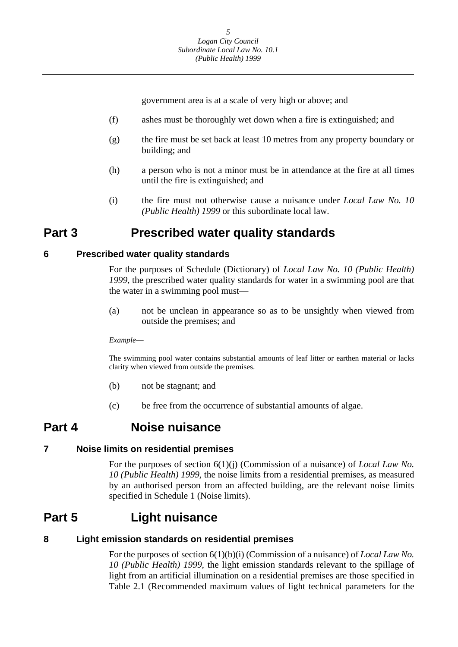government area is at a scale of very high or above; and

- (f) ashes must be thoroughly wet down when a fire is extinguished; and
- (g) the fire must be set back at least 10 metres from any property boundary or building; and
- (h) a person who is not a minor must be in attendance at the fire at all times until the fire is extinguished; and
- (i) the fire must not otherwise cause a nuisance under *Local Law No. 10 (Public Health) 1999* or this subordinate local law.

### **Part 3 Prescribed water quality standards**

#### **6 Prescribed water quality standards**

For the purposes of Schedule (Dictionary) of *Local Law No. 10 (Public Health) 1999*, the prescribed water quality standards for water in a swimming pool are that the water in a swimming pool must—

(a) not be unclean in appearance so as to be unsightly when viewed from outside the premises; and

#### *Example*—

The swimming pool water contains substantial amounts of leaf litter or earthen material or lacks clarity when viewed from outside the premises.

- (b) not be stagnant; and
- (c) be free from the occurrence of substantial amounts of algae.

### **Part 4 Noise nuisance**

#### **7 Noise limits on residential premises**

For the purposes of section 6(1)(j) (Commission of a nuisance) of *Local Law No. 10 (Public Health) 1999*, the noise limits from a residential premises, as measured by an authorised person from an affected building, are the relevant noise limits specified in Schedule 1 (Noise limits).

### **Part 5 Light nuisance**

#### **8 Light emission standards on residential premises**

For the purposes of section 6(1)(b)(i) (Commission of a nuisance) of *Local Law No. 10 (Public Health) 1999*, the light emission standards relevant to the spillage of light from an artificial illumination on a residential premises are those specified in Table 2.1 (Recommended maximum values of light technical parameters for the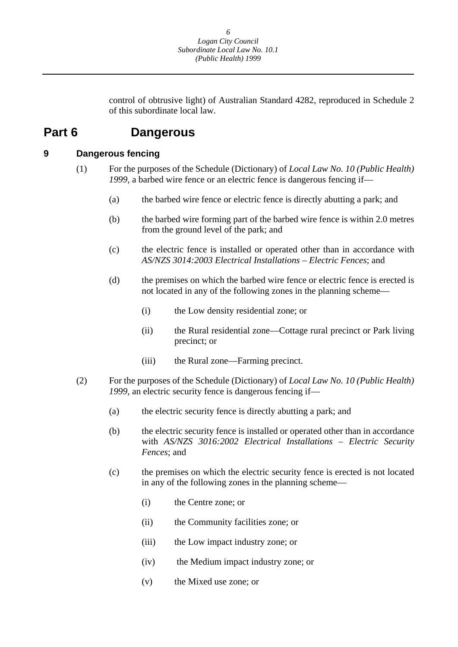control of obtrusive light) of Australian Standard 4282, reproduced in Schedule 2 of this subordinate local law.

### <span id="page-6-0"></span>**Part 6 Dangerous**

#### **9 Dangerous fencing**

- (1) For the purposes of the Schedule (Dictionary) of *Local Law No. 10 (Public Health) 1999,* a barbed wire fence or an electric fence is dangerous fencing if—
	- (a) the barbed wire fence or electric fence is directly abutting a park; and
	- (b) the barbed wire forming part of the barbed wire fence is within 2.0 metres from the ground level of the park; and
	- (c) the electric fence is installed or operated other than in accordance with *AS/NZS 3014:2003 Electrical Installations – Electric Fences*; and
	- (d) the premises on which the barbed wire fence or electric fence is erected is not located in any of the following zones in the planning scheme—
		- (i) the Low density residential zone; or
		- (ii) the Rural residential zone—Cottage rural precinct or Park living precinct; or
		- (iii) the Rural zone—Farming precinct.
- (2) For the purposes of the Schedule (Dictionary) of *Local Law No. 10 (Public Health) 1999*, an electric security fence is dangerous fencing if—
	- (a) the electric security fence is directly abutting a park; and
	- (b) the electric security fence is installed or operated other than in accordance with *AS/NZS 3016:2002 Electrical Installations – Electric Security Fences*; and
	- (c) the premises on which the electric security fence is erected is not located in any of the following zones in the planning scheme—
		- (i) the Centre zone; or
		- (ii) the Community facilities zone; or
		- (iii) the Low impact industry zone; or
		- (iv) the Medium impact industry zone; or
		- (v) the Mixed use zone; or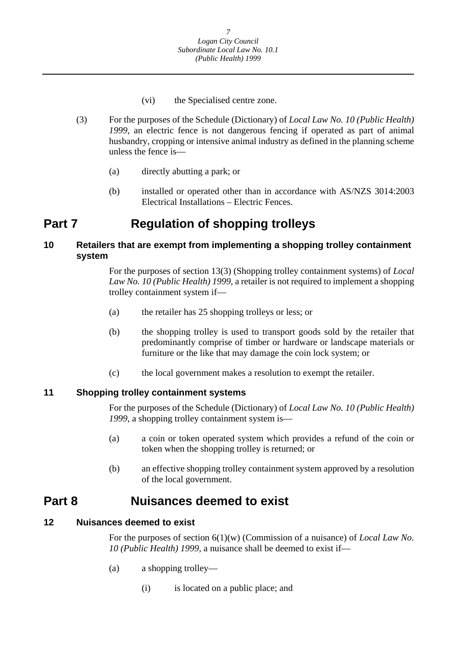- (vi) the Specialised centre zone.
- <span id="page-7-0"></span>(3) For the purposes of the Schedule (Dictionary) of *Local Law No. 10 (Public Health) 1999,* an electric fence is not dangerous fencing if operated as part of animal husbandry, cropping or intensive animal industry as defined in the planning scheme unless the fence is—
	- (a) directly abutting a park; or
	- (b) installed or operated other than in accordance with AS/NZS 3014:2003 Electrical Installations – Electric Fences.

### **Part 7 Regulation of shopping trolleys**

#### **10 Retailers that are exempt from implementing a shopping trolley containment system**

For the purposes of section 13(3) (Shopping trolley containment systems) of *Local Law No. 10 (Public Health) 1999*, a retailer is not required to implement a shopping trolley containment system if—

- (a) the retailer has 25 shopping trolleys or less; or
- (b) the shopping trolley is used to transport goods sold by the retailer that predominantly comprise of timber or hardware or landscape materials or furniture or the like that may damage the coin lock system; or
- (c) the local government makes a resolution to exempt the retailer.

### **11 Shopping trolley containment systems**

For the purposes of the Schedule (Dictionary) of *Local Law No. 10 (Public Health) 1999*, a shopping trolley containment system is—

- (a) a coin or token operated system which provides a refund of the coin or token when the shopping trolley is returned; or
- (b) an effective shopping trolley containment system approved by a resolution of the local government.

### **Part 8 Nuisances deemed to exist**

### **12 Nuisances deemed to exist**

For the purposes of section 6(1)(w) (Commission of a nuisance) of *Local Law No. 10 (Public Health) 1999,* a nuisance shall be deemed to exist if—

- (a) a shopping trolley—
	- (i) is located on a public place; and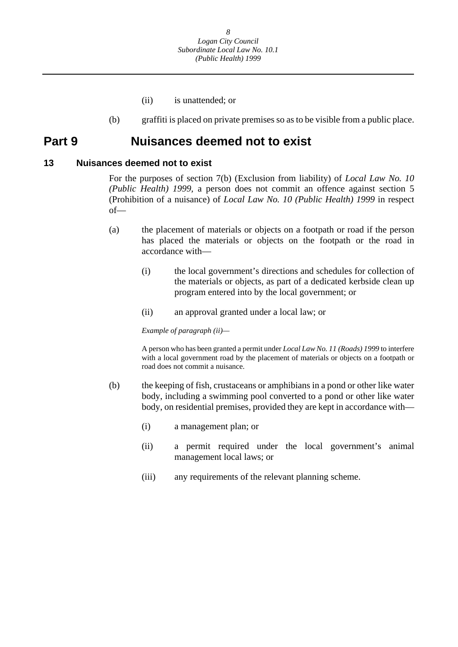- (ii) is unattended; or
- (b) graffiti is placed on private premises so as to be visible from a public place.

### <span id="page-8-0"></span>**Part 9 Nuisances deemed not to exist**

#### **13 Nuisances deemed not to exist**

For the purposes of section 7(b) (Exclusion from liability) of *Local Law No. 10 (Public Health) 1999,* a person does not commit an offence against section 5 (Prohibition of a nuisance) of *Local Law No. 10 (Public Health) 1999* in respect of—

- (a) the placement of materials or objects on a footpath or road if the person has placed the materials or objects on the footpath or the road in accordance with—
	- (i) the local government's directions and schedules for collection of the materials or objects, as part of a dedicated kerbside clean up program entered into by the local government; or
	- (ii) an approval granted under a local law; or

 *Example of paragraph (ii)—* 

A person who has been granted a permit under *Local Law No. 11 (Roads) 1999* to interfere with a local government road by the placement of materials or objects on a footpath or road does not commit a nuisance.

- (b) the keeping of fish, crustaceans or amphibians in a pond or other like water body, including a swimming pool converted to a pond or other like water body, on residential premises, provided they are kept in accordance with—
	- (i) a management plan; or
	- (ii) a permit required under the local government's animal management local laws; or
	- (iii) any requirements of the relevant planning scheme.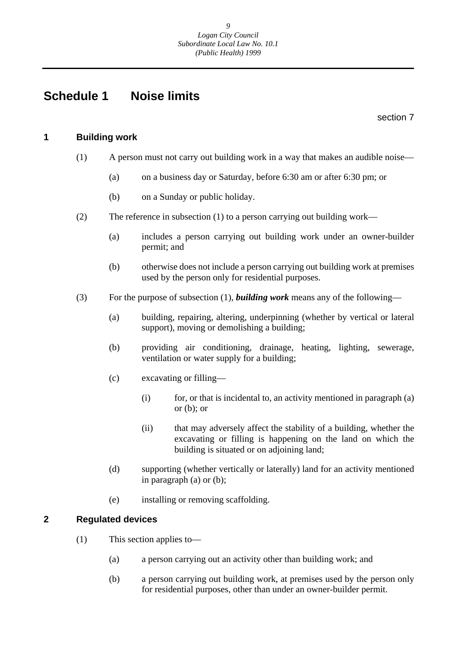### <span id="page-9-0"></span>**Schedule 1 Noise limits**

section 7

#### **1 Building work**

- (1) A person must not carry out building work in a way that makes an audible noise—
	- (a) on a business day or Saturday, before 6:30 am or after 6:30 pm; or
	- (b) on a Sunday or public holiday.
- (2) The reference in subsection (1) to a person carrying out building work—
	- (a) includes a person carrying out building work under an owner-builder permit; and
	- (b) otherwise does not include a person carrying out building work at premises used by the person only for residential purposes.
- (3) For the purpose of subsection (1), *building work* means any of the following—
	- (a) building, repairing, altering, underpinning (whether by vertical or lateral support), moving or demolishing a building;
	- (b) providing air conditioning, drainage, heating, lighting, sewerage, ventilation or water supply for a building;
	- (c) excavating or filling—
		- $(i)$  for, or that is incidental to, an activity mentioned in paragraph  $(a)$ or  $(b)$ ; or
		- (ii) that may adversely affect the stability of a building, whether the excavating or filling is happening on the land on which the building is situated or on adjoining land;
	- (d) supporting (whether vertically or laterally) land for an activity mentioned in paragraph (a) or (b);
	- (e) installing or removing scaffolding.

#### **2 Regulated devices**

- (1) This section applies to—
	- (a) a person carrying out an activity other than building work; and
	- (b) a person carrying out building work, at premises used by the person only for residential purposes, other than under an owner-builder permit.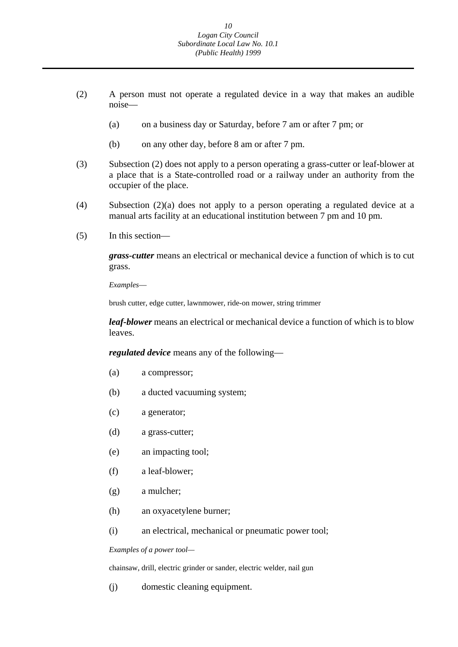- (2) A person must not operate a regulated device in a way that makes an audible noise—
	- (a) on a business day or Saturday, before 7 am or after 7 pm; or
	- (b) on any other day, before 8 am or after 7 pm.
- (3) Subsection (2) does not apply to a person operating a grass-cutter or leaf-blower at a place that is a State-controlled road or a railway under an authority from the occupier of the place.
- (4) Subsection (2)(a) does not apply to a person operating a regulated device at a manual arts facility at an educational institution between 7 pm and 10 pm.
- (5) In this section—

*grass-cutter* means an electrical or mechanical device a function of which is to cut grass.

*Examples*—

brush cutter, edge cutter, lawnmower, ride-on mower, string trimmer

*leaf-blower* means an electrical or mechanical device a function of which is to blow leaves.

*regulated device* means any of the following—

- (a) a compressor;
- (b) a ducted vacuuming system;
- (c) a generator;
- (d) a grass-cutter;
- (e) an impacting tool;
- (f) a leaf-blower;
- (g) a mulcher;
- (h) an oxyacetylene burner;
- (i) an electrical, mechanical or pneumatic power tool;

#### *Examples of a power tool—*

chainsaw, drill, electric grinder or sander, electric welder, nail gun

(j) domestic cleaning equipment.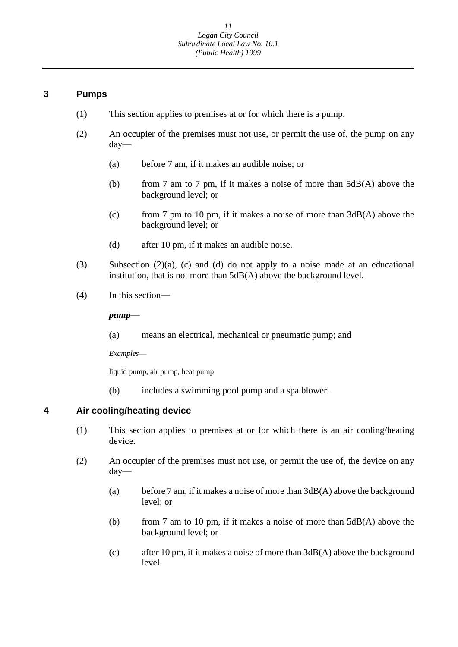#### **3 Pumps**

- (1) This section applies to premises at or for which there is a pump.
- (2) An occupier of the premises must not use, or permit the use of, the pump on any day—
	- (a) before 7 am, if it makes an audible noise; or
	- (b) from 7 am to 7 pm, if it makes a noise of more than 5dB(A) above the background level; or
	- (c) from 7 pm to 10 pm, if it makes a noise of more than 3dB(A) above the background level; or
	- (d) after 10 pm, if it makes an audible noise.
- (3) Subsection  $(2)(a)$ , (c) and (d) do not apply to a noise made at an educational institution, that is not more than 5dB(A) above the background level.
- (4) In this section—

*pump*—

(a) means an electrical, mechanical or pneumatic pump; and

*Examples*—

liquid pump, air pump, heat pump

(b) includes a swimming pool pump and a spa blower.

### **4 Air cooling/heating device**

- (1) This section applies to premises at or for which there is an air cooling/heating device.
- (2) An occupier of the premises must not use, or permit the use of, the device on any day—
	- (a) before 7 am, if it makes a noise of more than 3dB(A) above the background level; or
	- (b) from 7 am to 10 pm, if it makes a noise of more than 5dB(A) above the background level; or
	- (c) after 10 pm, if it makes a noise of more than 3dB(A) above the background level.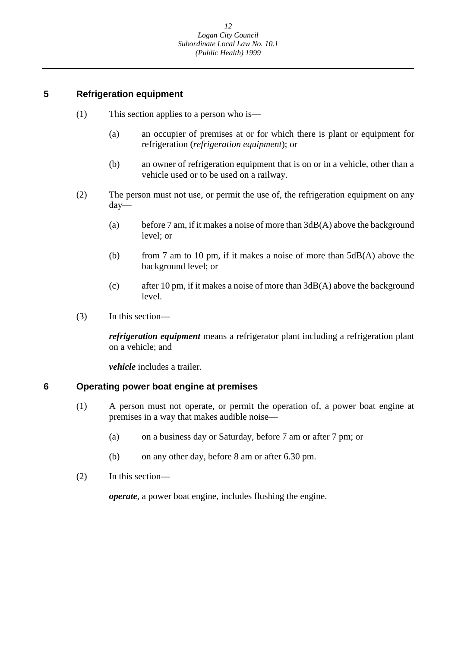### **5 Refrigeration equipment**

- (1) This section applies to a person who is—
	- (a) an occupier of premises at or for which there is plant or equipment for refrigeration (*refrigeration equipment*); or
	- (b) an owner of refrigeration equipment that is on or in a vehicle, other than a vehicle used or to be used on a railway.
- (2) The person must not use, or permit the use of, the refrigeration equipment on any day—
	- (a) before 7 am, if it makes a noise of more than 3dB(A) above the background level; or
	- (b) from 7 am to 10 pm, if it makes a noise of more than 5dB(A) above the background level; or
	- (c) after 10 pm, if it makes a noise of more than 3dB(A) above the background level.
- (3) In this section—

*refrigeration equipment* means a refrigerator plant including a refrigeration plant on a vehicle; and

*vehicle* includes a trailer.

#### **6 Operating power boat engine at premises**

- (1) A person must not operate, or permit the operation of, a power boat engine at premises in a way that makes audible noise—
	- (a) on a business day or Saturday, before 7 am or after 7 pm; or
	- (b) on any other day, before 8 am or after 6.30 pm.
- (2) In this section—

*operate*, a power boat engine, includes flushing the engine.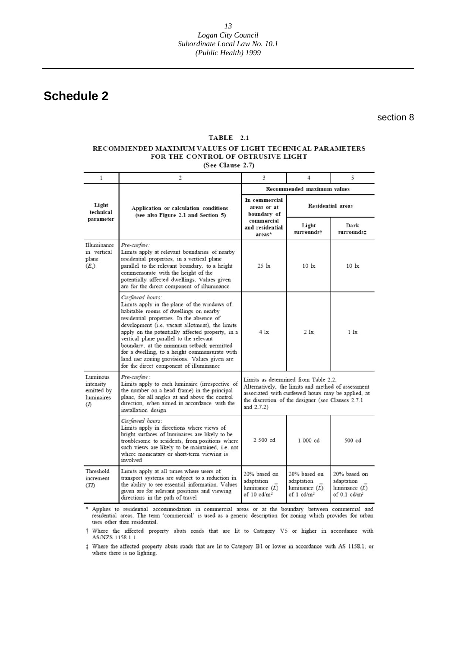<span id="page-13-0"></span>**Schedule 2** 

section 8

#### TABLE 2.1

#### RECOMMENDED MAXIMUM VALUES OF LIGHT TECHNICAL PARAMETERS FOR THE CONTROL OF OBTRUSIVE LIGHT

(See Clause 2.7)

| $\mathbf{1}$                                                  | $\overline{c}$                                                                                                                                                                                                                                                                                                                                                                                                                                                                                    | 3                                                                                                                                                                                                                     | 4                                                                         | 5.                                                              |
|---------------------------------------------------------------|---------------------------------------------------------------------------------------------------------------------------------------------------------------------------------------------------------------------------------------------------------------------------------------------------------------------------------------------------------------------------------------------------------------------------------------------------------------------------------------------------|-----------------------------------------------------------------------------------------------------------------------------------------------------------------------------------------------------------------------|---------------------------------------------------------------------------|-----------------------------------------------------------------|
|                                                               |                                                                                                                                                                                                                                                                                                                                                                                                                                                                                                   | Recommended maximum values                                                                                                                                                                                            |                                                                           |                                                                 |
| Light<br>technical                                            | Application or calculation conditions<br>(see also Figure 2.1 and Section 5)                                                                                                                                                                                                                                                                                                                                                                                                                      | In commercial<br>areas or at<br>boundary of                                                                                                                                                                           | <b>Residential areas</b>                                                  |                                                                 |
| parameter                                                     |                                                                                                                                                                                                                                                                                                                                                                                                                                                                                                   | commercial<br>and residential<br>areas*                                                                                                                                                                               | Light<br>surrounds+                                                       | Dark<br>surrounds±                                              |
| Illuminance<br>in vertical<br>plane<br>$(E_v)$                | Pre-curfew:<br>Limits apply at relevant boundaries of nearby<br>residential properties, in a vertical plane<br>parallel to the relevant boundary, to a height<br>commensurate with the height of the<br>potentially affected dwellings. Values given<br>are for the direct component of illuminance                                                                                                                                                                                               | $25 \text{lx}$                                                                                                                                                                                                        | $10 \text{lx}$                                                            | $10 \text{lx}$                                                  |
|                                                               | Curfewed hours:<br>Limits apply in the plane of the windows of<br>habitable rooms of dwellings on nearby<br>residential properties. In the absence of<br>development (i.e. vacant allotment), the limits<br>apply on the potentially affected property, in a<br>vertical plane parallel to the relevant<br>boundary, at the minimum setback permitted<br>for a dwelling, to a height commensurate with<br>land use zoning provisions. Values given are<br>for the direct component of illuminance | $4$ $1x$                                                                                                                                                                                                              | 2 <sub>1x</sub>                                                           | $1$ $1x$                                                        |
| Luminous<br>intensity<br>emitted by<br>luminaires<br>$\Omega$ | Pre-curfew:<br>Limits apply to each luminaire (irrespective of<br>the number on a head frame) in the principal<br>plane, for all angles at and above the control<br>direction, when aimed in accordance with the<br>installation design                                                                                                                                                                                                                                                           | Limits as determined from Table 2.2.<br>Alternatively, the limits and method of assessment<br>associated with curfewed hours may be applied, at<br>the discretion of the designer (see Clauses 2.7.1<br>and $2.7.2$ ) |                                                                           |                                                                 |
|                                                               | Curfewed hours:<br>Limits apply in directions where views of<br>bright surfaces of luminaires are likely to be<br>troublesome to residents, from positions where<br>such views are likely to be maintained, i.e. not<br>where momentary or short-term viewing is<br>involved                                                                                                                                                                                                                      | 2 500 cd                                                                                                                                                                                                              | 1 000 cd                                                                  | 500 cd                                                          |
| Threshold<br>increment<br>(TI)                                | Limits apply at all times where users of<br>transport systems are subject to a reduction in<br>the ability to see essential information. Values<br>given are for relevant positions and viewing<br>directions in the path of travel                                                                                                                                                                                                                                                               | 20% based on<br>adaptation<br>luminance (L)<br>of 10 $cd/m2$                                                                                                                                                          | 20% based on<br>adaptation<br>luminance $(L)$<br>of $1$ cd/m <sup>2</sup> | 20% based on<br>adaptation<br>luminance $(L)$<br>of 0.1 $cd/m2$ |

\* Applies to residential accommodation in commercial areas or at the boundary between commercial and residential areas. The term 'commercial' is used as a generic description for zoning which provides for urban uses other than residential.

† Where the affected property abuts roads that are lit to Category V5 or higher in accordance with AS/NZS 1158.1.1.

# Where the affected property abuts roads that are lit to Category B1 or lower in accordance with AS 1158.1, or where there is no lighting.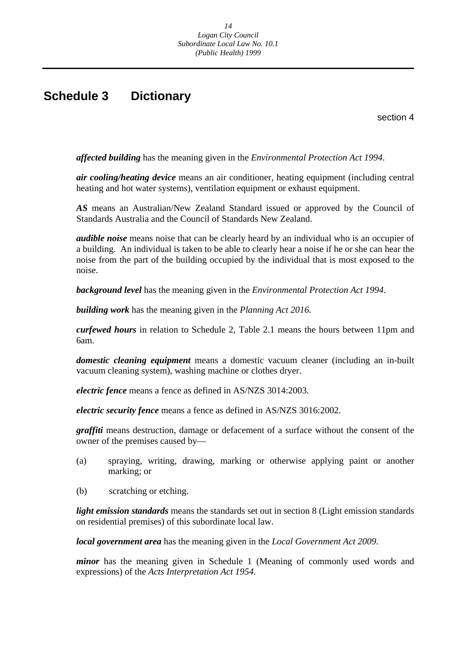### <span id="page-14-0"></span>**Schedule 3 Dictionary**

section 4

*affected building* has the meaning given in the *Environmental Protection Act 1994*.

*air cooling/heating device* means an air conditioner, heating equipment (including central heating and hot water systems), ventilation equipment or exhaust equipment.

*AS* means an Australian/New Zealand Standard issued or approved by the Council of Standards Australia and the Council of Standards New Zealand.

*audible noise* means noise that can be clearly heard by an individual who is an occupier of a building. An individual is taken to be able to clearly hear a noise if he or she can hear the noise from the part of the building occupied by the individual that is most exposed to the noise.

*background level* has the meaning given in the *Environmental Protection Act 1994*.

*building work* has the meaning given in the *Planning Act 2016*.

*curfewed hours* in relation to Schedule 2, Table 2.1 means the hours between 11pm and 6am.

*domestic cleaning equipment* means a domestic vacuum cleaner (including an in-built vacuum cleaning system), washing machine or clothes dryer.

*electric fence* means a fence as defined in AS/NZS 3014:2003.

*electric security fence* means a fence as defined in AS/NZS 3016:2002.

*graffiti* means destruction, damage or defacement of a surface without the consent of the owner of the premises caused by—

- (a) spraying, writing, drawing, marking or otherwise applying paint or another marking; or
- (b) scratching or etching.

*light emission standards* means the standards set out in section 8 (Light emission standards on residential premises) of this subordinate local law.

*local government area* has the meaning given in the *Local Government Act 2009*.

*minor* has the meaning given in Schedule 1 (Meaning of commonly used words and expressions) of the *Acts Interpretation Act 1954*.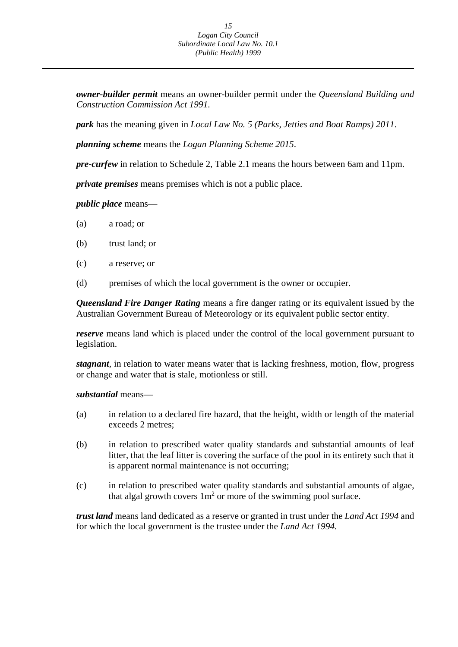*owner-builder permit* means an owner-builder permit under the *Queensland Building and Construction Commission Act 1991*.

*park* has the meaning given in *Local Law No. 5 (Parks, Jetties and Boat Ramps) 2011*.

*planning scheme* means the *Logan Planning Scheme 2015*.

*pre-curfew* in relation to Schedule 2, Table 2.1 means the hours between 6am and 11pm.

*private premises* means premises which is not a public place.

*public place* means—

- (a) a road; or
- (b) trust land; or
- (c) a reserve; or
- (d) premises of which the local government is the owner or occupier.

*Queensland Fire Danger Rating* means a fire danger rating or its equivalent issued by the Australian Government Bureau of Meteorology or its equivalent public sector entity.

*reserve* means land which is placed under the control of the local government pursuant to legislation.

*stagnant*, in relation to water means water that is lacking freshness, motion, flow, progress or change and water that is stale, motionless or still.

#### *substantial* means—

- (a) in relation to a declared fire hazard, that the height, width or length of the material exceeds 2 metres;
- (b) in relation to prescribed water quality standards and substantial amounts of leaf litter, that the leaf litter is covering the surface of the pool in its entirety such that it is apparent normal maintenance is not occurring;
- (c) in relation to prescribed water quality standards and substantial amounts of algae, that algal growth covers  $1m^2$  or more of the swimming pool surface.

*trust land* means land dedicated as a reserve or granted in trust under the *Land Act 1994* and for which the local government is the trustee under the *Land Act 1994.*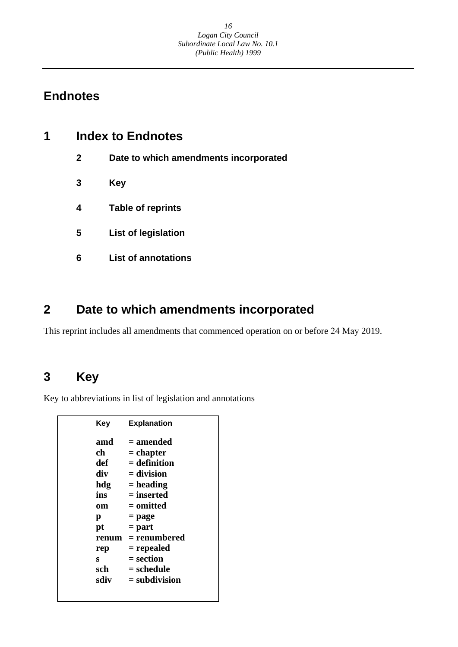### <span id="page-16-0"></span>**Endnotes**

| 1 | <b>Index to Endnotes</b> |                                       |  |
|---|--------------------------|---------------------------------------|--|
|   | $\mathbf{2}$             | Date to which amendments incorporated |  |
|   | 3                        | Key                                   |  |
|   | 4                        | <b>Table of reprints</b>              |  |
|   | 5                        | <b>List of legislation</b>            |  |
|   | 6                        | <b>List of annotations</b>            |  |
|   |                          |                                       |  |

## **2 Date to which amendments incorporated**

This reprint includes all amendments that commenced operation on or before 24 May 2019.

## **3 Key**

Key to abbreviations in list of legislation and annotations

| Key   | <b>Explanation</b> |
|-------|--------------------|
| amd   | = amended          |
| ch    | = chapter          |
| def   | $=$ definition     |
| div   | $=$ division       |
| hdg   | $=$ heading        |
| ins   | $=$ inserted       |
| om    | = omitted          |
| р     | = page             |
| pt    | $=$ part           |
| renum | = renumbered       |
| rep   | = repealed         |
| s     | $=$ section        |
| sch   | = schedule         |
| sdiv  | $=$ subdivision    |
|       |                    |
|       |                    |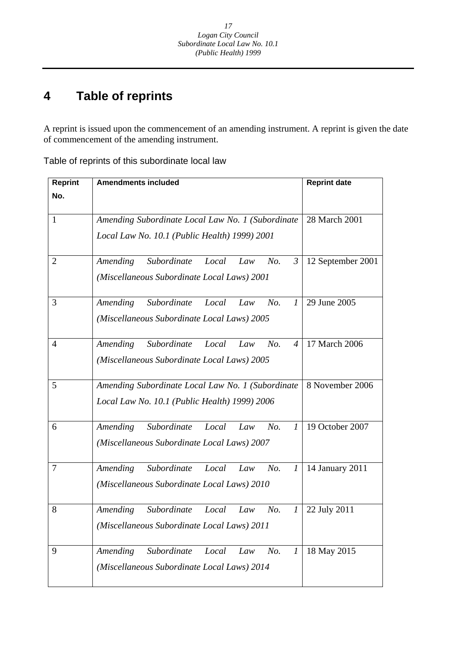#### **4 Table of reprints**

A reprint is issued upon the commencement of an amending instrument. A reprint is given the date of commencement of the amending instrument.

Table of reprints of this subordinate local law

| <b>Reprint</b> | <b>Amendments included</b>                                       | <b>Reprint date</b> |
|----------------|------------------------------------------------------------------|---------------------|
| No.            |                                                                  |                     |
|                |                                                                  |                     |
| 1              | Amending Subordinate Local Law No. 1 (Subordinate                | 28 March 2001       |
|                | Local Law No. 10.1 (Public Health) 1999) 2001                    |                     |
|                |                                                                  |                     |
| 2              | Subordinate<br>Amending<br>Local<br>No.<br>Law<br>$\mathfrak{Z}$ | 12 September 2001   |
|                | (Miscellaneous Subordinate Local Laws) 2001                      |                     |
|                |                                                                  |                     |
| 3              | Amending<br>Subordinate<br>No.<br>Local<br>Law<br>$\prime$       | 29 June 2005        |
|                | (Miscellaneous Subordinate Local Laws) 2005                      |                     |
|                |                                                                  |                     |
| 4              | Subordinate<br>Amending<br>Local<br>No.<br>Law<br>$\overline{4}$ | 17 March 2006       |
|                | (Miscellaneous Subordinate Local Laws) 2005                      |                     |
|                |                                                                  |                     |
| 5              | Amending Subordinate Local Law No. 1 (Subordinate                | 8 November 2006     |
|                | Local Law No. 10.1 (Public Health) 1999) 2006                    |                     |
|                |                                                                  |                     |
| 6              | Subordinate<br>Amending<br>Local<br>No.<br>Law<br>$\mathcal{I}$  | 19 October 2007     |
|                | (Miscellaneous Subordinate Local Laws) 2007                      |                     |
| 7              | Subordinate<br>Local<br>No.<br>$\boldsymbol{l}$                  |                     |
|                | Amending<br>Law                                                  | 14 January 2011     |
|                | (Miscellaneous Subordinate Local Laws) 2010                      |                     |
| 8              | Amending<br>Subordinate<br>Local<br>No.<br>Law<br>$\overline{I}$ | 22 July 2011        |
|                |                                                                  |                     |
|                | (Miscellaneous Subordinate Local Laws) 2011                      |                     |
| 9              | Amending<br>Subordinate<br>No.<br>Local<br>Law<br>1              | 18 May 2015         |
|                | (Miscellaneous Subordinate Local Laws) 2014                      |                     |
|                |                                                                  |                     |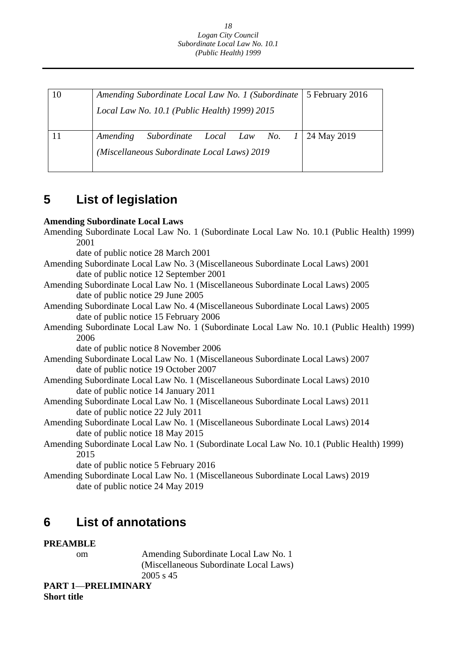| 10 | Amending Subordinate Local Law No. 1 (Subordinate   5 February 2016 |  |
|----|---------------------------------------------------------------------|--|
|    | Local Law No. 10.1 (Public Health) 1999) 2015                       |  |
|    |                                                                     |  |
|    | Subordinate Local Law No. $1 \mid 24$ May 2019<br>Amending          |  |
|    | (Miscellaneous Subordinate Local Laws) 2019                         |  |
|    |                                                                     |  |

## **5 List of legislation**

### **Amending Subordinate Local Laws**

| Amending Subordinate Local Law No. 1 (Subordinate Local Law No. 10.1 (Public Health) 1999) |
|--------------------------------------------------------------------------------------------|
| 2001                                                                                       |
| date of public notice 28 March 2001                                                        |
| Amending Subordinate Local Law No. 3 (Miscellaneous Subordinate Local Laws) 2001           |
| date of public notice 12 September 2001                                                    |
| Amending Subordinate Local Law No. 1 (Miscellaneous Subordinate Local Laws) 2005           |
| date of public notice 29 June 2005                                                         |
| Amending Subordinate Local Law No. 4 (Miscellaneous Subordinate Local Laws) 2005           |
| date of public notice 15 February 2006                                                     |
| Amending Subordinate Local Law No. 1 (Subordinate Local Law No. 10.1 (Public Health) 1999) |
| 2006                                                                                       |
| date of public notice 8 November 2006                                                      |
| Amending Subordinate Local Law No. 1 (Miscellaneous Subordinate Local Laws) 2007           |
| date of public notice 19 October 2007                                                      |
| Amending Subordinate Local Law No. 1 (Miscellaneous Subordinate Local Laws) 2010           |
| date of public notice 14 January 2011                                                      |
| Amending Subordinate Local Law No. 1 (Miscellaneous Subordinate Local Laws) 2011           |
| date of public notice 22 July 2011                                                         |
| Amending Subordinate Local Law No. 1 (Miscellaneous Subordinate Local Laws) 2014           |
| date of public notice 18 May 2015                                                          |
| Amending Subordinate Local Law No. 1 (Subordinate Local Law No. 10.1 (Public Health) 1999) |
| 2015                                                                                       |
| date of public notice 5 February 2016                                                      |
| Amending Subordinate Local Law No. 1 (Miscellaneous Subordinate Local Laws) 2019           |
| date of public notice 24 May 2019                                                          |

## **6 List of annotations**

### **PREAMBLE**

om Amending Subordinate Local Law No. 1 (Miscellaneous Subordinate Local Laws) 2005 s 45

**PART 1**—**PRELIMINARY** 

**Short title**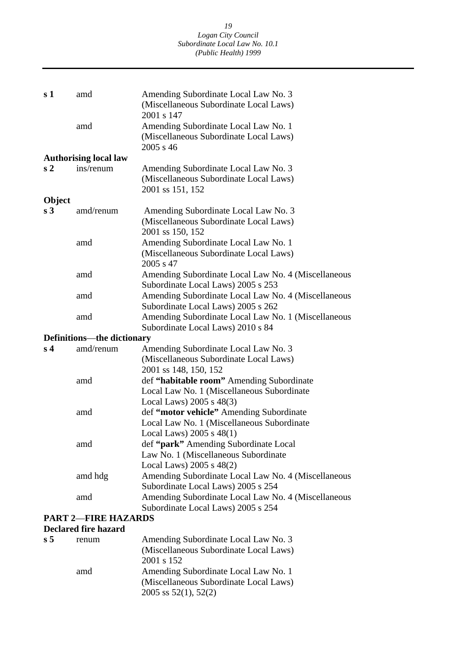| s <sub>1</sub> | amd                               | Amending Subordinate Local Law No. 3<br>(Miscellaneous Subordinate Local Laws)<br>2001 s 147                           |
|----------------|-----------------------------------|------------------------------------------------------------------------------------------------------------------------|
|                | amd                               | Amending Subordinate Local Law No. 1<br>(Miscellaneous Subordinate Local Laws)<br>2005 s 46                            |
|                | <b>Authorising local law</b>      |                                                                                                                        |
| s <sub>2</sub> | ins/renum                         | Amending Subordinate Local Law No. 3<br>(Miscellaneous Subordinate Local Laws)<br>2001 ss 151, 152                     |
| Object         |                                   |                                                                                                                        |
| s <sub>3</sub> | amd/renum                         | Amending Subordinate Local Law No. 3<br>(Miscellaneous Subordinate Local Laws)<br>2001 ss 150, 152                     |
|                | amd                               | Amending Subordinate Local Law No. 1<br>(Miscellaneous Subordinate Local Laws)<br>2005 s 47                            |
|                | amd                               | Amending Subordinate Local Law No. 4 (Miscellaneous<br>Subordinate Local Laws) 2005 s 253                              |
|                | amd                               | Amending Subordinate Local Law No. 4 (Miscellaneous<br>Subordinate Local Laws) 2005 s 262                              |
|                | amd                               | Amending Subordinate Local Law No. 1 (Miscellaneous<br>Subordinate Local Laws) 2010 s 84                               |
|                | <b>Definitions—the dictionary</b> |                                                                                                                        |
| s <sub>4</sub> | amd/renum                         | Amending Subordinate Local Law No. 3<br>(Miscellaneous Subordinate Local Laws)<br>2001 ss 148, 150, 152                |
|                | amd                               | def "habitable room" Amending Subordinate<br>Local Law No. 1 (Miscellaneous Subordinate                                |
|                | amd                               | Local Laws) $2005$ s $48(3)$<br>def "motor vehicle" Amending Subordinate<br>Local Law No. 1 (Miscellaneous Subordinate |
|                | amd                               | Local Laws) $2005$ s $48(1)$<br>def "park" Amending Subordinate Local<br>Law No. 1 (Miscellaneous Subordinate          |
|                | amd hdg                           | Local Laws) 2005 s 48(2)<br>Amending Subordinate Local Law No. 4 (Miscellaneous<br>Subordinate Local Laws) 2005 s 254  |
|                | amd<br><b>PART 2-FIRE HAZARDS</b> | Amending Subordinate Local Law No. 4 (Miscellaneous<br>Subordinate Local Laws) 2005 s 254                              |
|                |                                   |                                                                                                                        |

### **Declared fire hazard**

| s <sub>5</sub> | renum | Amending Subordinate Local Law No. 3<br>(Miscellaneous Subordinate Local Laws)<br>2001 s 152                  |
|----------------|-------|---------------------------------------------------------------------------------------------------------------|
|                | amd   | Amending Subordinate Local Law No. 1<br>(Miscellaneous Subordinate Local Laws)<br>$2005$ ss $52(1)$ , $52(2)$ |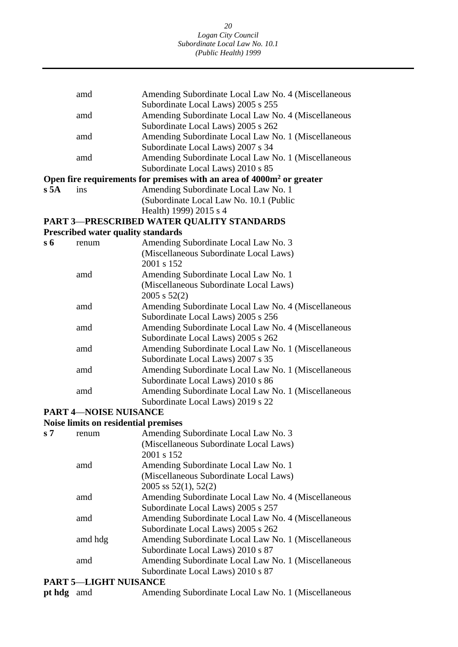|                | amd                                         | Amending Subordinate Local Law No. 4 (Miscellaneous                               |
|----------------|---------------------------------------------|-----------------------------------------------------------------------------------|
|                |                                             | Subordinate Local Laws) 2005 s 255                                                |
|                | amd                                         | Amending Subordinate Local Law No. 4 (Miscellaneous                               |
|                |                                             | Subordinate Local Laws) 2005 s 262                                                |
|                | amd                                         | Amending Subordinate Local Law No. 1 (Miscellaneous                               |
|                |                                             | Subordinate Local Laws) 2007 s 34                                                 |
|                | amd                                         | Amending Subordinate Local Law No. 1 (Miscellaneous                               |
|                |                                             | Subordinate Local Laws) 2010 s 85                                                 |
|                |                                             | Open fire requirements for premises with an area of 4000m <sup>2</sup> or greater |
| s 5A           | ins                                         | Amending Subordinate Local Law No. 1                                              |
|                |                                             | (Subordinate Local Law No. 10.1 (Public                                           |
|                |                                             | Health) 1999) 2015 s 4                                                            |
|                |                                             | PART 3-PRESCRIBED WATER QUALITY STANDARDS                                         |
|                | <b>Prescribed water quality standards</b>   |                                                                                   |
| $s\,6$         | renum                                       | Amending Subordinate Local Law No. 3                                              |
|                |                                             | (Miscellaneous Subordinate Local Laws)                                            |
|                |                                             | 2001 s 152                                                                        |
|                | amd                                         | Amending Subordinate Local Law No. 1                                              |
|                |                                             | (Miscellaneous Subordinate Local Laws)                                            |
|                |                                             | 2005 s 52(2)                                                                      |
|                | amd                                         | Amending Subordinate Local Law No. 4 (Miscellaneous                               |
|                |                                             | Subordinate Local Laws) 2005 s 256                                                |
|                | amd                                         | Amending Subordinate Local Law No. 4 (Miscellaneous                               |
|                |                                             | Subordinate Local Laws) 2005 s 262                                                |
|                | amd                                         | Amending Subordinate Local Law No. 1 (Miscellaneous                               |
|                |                                             | Subordinate Local Laws) 2007 s 35                                                 |
|                | amd                                         | Amending Subordinate Local Law No. 1 (Miscellaneous                               |
|                |                                             | Subordinate Local Laws) 2010 s 86                                                 |
|                | amd                                         | Amending Subordinate Local Law No. 1 (Miscellaneous                               |
|                |                                             | Subordinate Local Laws) 2019 s 22                                                 |
|                | <b>PART 4-NOISE NUISANCE</b>                |                                                                                   |
|                | <b>Noise limits on residential premises</b> |                                                                                   |
| s <sub>7</sub> | renum                                       | Amending Subordinate Local Law No. 3                                              |
|                |                                             | (Miscellaneous Subordinate Local Laws)                                            |
|                |                                             | 2001 s 152                                                                        |
|                | amd                                         | Amending Subordinate Local Law No. 1                                              |
|                |                                             | (Miscellaneous Subordinate Local Laws)                                            |
|                |                                             | $2005$ ss $52(1)$ , $52(2)$                                                       |
|                | amd                                         |                                                                                   |
|                |                                             | Amending Subordinate Local Law No. 4 (Miscellaneous                               |
|                |                                             | Subordinate Local Laws) 2005 s 257                                                |
|                | amd                                         | Amending Subordinate Local Law No. 4 (Miscellaneous                               |
|                |                                             | Subordinate Local Laws) 2005 s 262                                                |
|                | amd hdg                                     | Amending Subordinate Local Law No. 1 (Miscellaneous                               |
|                |                                             | Subordinate Local Laws) 2010 s 87                                                 |

amd Amending Subordinate Local Law No. 1 (Miscellaneous

Subordinate Local Laws) 2010 s 87

#### **PART 5**—**LIGHT NUISANCE**

| <b>pt hdg</b> amd |  | Amending Subordinate Local Law No. 1 (Miscellaneous |  |
|-------------------|--|-----------------------------------------------------|--|
|-------------------|--|-----------------------------------------------------|--|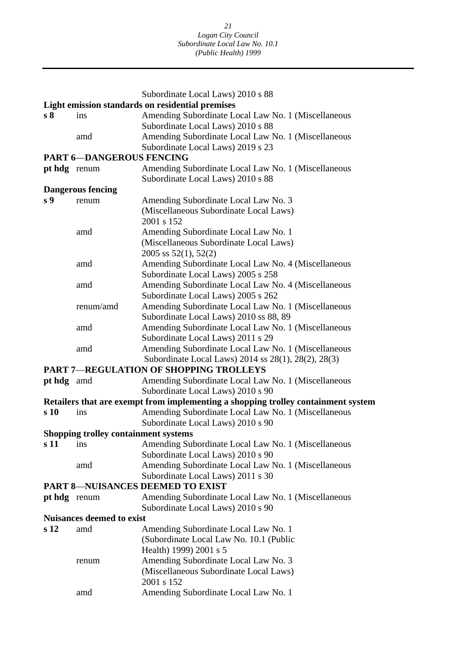|                                                                      |                                             | Subordinate Local Laws) 2010 s 88                                                 |  |  |  |  |
|----------------------------------------------------------------------|---------------------------------------------|-----------------------------------------------------------------------------------|--|--|--|--|
| Light emission standards on residential premises                     |                                             |                                                                                   |  |  |  |  |
| s <sub>8</sub>                                                       | ins                                         | Amending Subordinate Local Law No. 1 (Miscellaneous                               |  |  |  |  |
|                                                                      |                                             | Subordinate Local Laws) 2010 s 88                                                 |  |  |  |  |
|                                                                      | amd                                         | Amending Subordinate Local Law No. 1 (Miscellaneous                               |  |  |  |  |
| Subordinate Local Laws) 2019 s 23<br><b>PART 6-DANGEROUS FENCING</b> |                                             |                                                                                   |  |  |  |  |
| pt hdg renum                                                         |                                             | Amending Subordinate Local Law No. 1 (Miscellaneous                               |  |  |  |  |
|                                                                      |                                             | Subordinate Local Laws) 2010 s 88                                                 |  |  |  |  |
|                                                                      | <b>Dangerous fencing</b>                    |                                                                                   |  |  |  |  |
| s <sub>9</sub>                                                       | renum                                       | Amending Subordinate Local Law No. 3                                              |  |  |  |  |
|                                                                      |                                             | (Miscellaneous Subordinate Local Laws)                                            |  |  |  |  |
|                                                                      |                                             | 2001 s 152                                                                        |  |  |  |  |
|                                                                      | amd                                         | Amending Subordinate Local Law No. 1                                              |  |  |  |  |
|                                                                      |                                             | (Miscellaneous Subordinate Local Laws)                                            |  |  |  |  |
|                                                                      |                                             | 2005 ss $52(1)$ , $52(2)$                                                         |  |  |  |  |
|                                                                      | amd                                         | Amending Subordinate Local Law No. 4 (Miscellaneous                               |  |  |  |  |
|                                                                      |                                             | Subordinate Local Laws) 2005 s 258                                                |  |  |  |  |
|                                                                      | amd                                         | Amending Subordinate Local Law No. 4 (Miscellaneous                               |  |  |  |  |
|                                                                      |                                             | Subordinate Local Laws) 2005 s 262                                                |  |  |  |  |
|                                                                      | renum/amd                                   | Amending Subordinate Local Law No. 1 (Miscellaneous                               |  |  |  |  |
|                                                                      |                                             | Subordinate Local Laws) 2010 ss 88, 89                                            |  |  |  |  |
|                                                                      | amd                                         | Amending Subordinate Local Law No. 1 (Miscellaneous                               |  |  |  |  |
|                                                                      |                                             | Subordinate Local Laws) 2011 s 29                                                 |  |  |  |  |
|                                                                      | amd                                         | Amending Subordinate Local Law No. 1 (Miscellaneous                               |  |  |  |  |
|                                                                      |                                             | Subordinate Local Laws) 2014 ss 28(1), 28(2), 28(3)                               |  |  |  |  |
|                                                                      |                                             | <b>PART 7-REGULATION OF SHOPPING TROLLEYS</b>                                     |  |  |  |  |
| pt hdg amd                                                           |                                             | Amending Subordinate Local Law No. 1 (Miscellaneous                               |  |  |  |  |
|                                                                      |                                             | Subordinate Local Laws) 2010 s 90                                                 |  |  |  |  |
|                                                                      |                                             | Retailers that are exempt from implementing a shopping trolley containment system |  |  |  |  |
| s 10                                                                 | ins                                         | Amending Subordinate Local Law No. 1 (Miscellaneous                               |  |  |  |  |
|                                                                      |                                             | Subordinate Local Laws) 2010 s 90                                                 |  |  |  |  |
|                                                                      | <b>Shopping trolley containment systems</b> |                                                                                   |  |  |  |  |
| s 11                                                                 | ins                                         | Amending Subordinate Local Law No. 1 (Miscellaneous                               |  |  |  |  |
|                                                                      |                                             | Subordinate Local Laws) 2010 s 90                                                 |  |  |  |  |
|                                                                      | amd                                         | Amending Subordinate Local Law No. 1 (Miscellaneous                               |  |  |  |  |
|                                                                      |                                             | Subordinate Local Laws) 2011 s 30                                                 |  |  |  |  |
|                                                                      |                                             | <b>PART 8-NUISANCES DEEMED TO EXIST</b>                                           |  |  |  |  |
| pt hdg renum                                                         |                                             | Amending Subordinate Local Law No. 1 (Miscellaneous                               |  |  |  |  |
|                                                                      |                                             | Subordinate Local Laws) 2010 s 90                                                 |  |  |  |  |
|                                                                      | <b>Nuisances deemed to exist</b>            |                                                                                   |  |  |  |  |
| s <sub>12</sub>                                                      | amd                                         | Amending Subordinate Local Law No. 1                                              |  |  |  |  |
|                                                                      |                                             | (Subordinate Local Law No. 10.1 (Public                                           |  |  |  |  |
|                                                                      |                                             | Health) 1999) 2001 s 5                                                            |  |  |  |  |
|                                                                      | renum                                       | Amending Subordinate Local Law No. 3                                              |  |  |  |  |
|                                                                      |                                             | (Miscellaneous Subordinate Local Laws)                                            |  |  |  |  |
|                                                                      |                                             | 2001 s 152                                                                        |  |  |  |  |
|                                                                      | amd                                         | Amending Subordinate Local Law No. 1                                              |  |  |  |  |
|                                                                      |                                             |                                                                                   |  |  |  |  |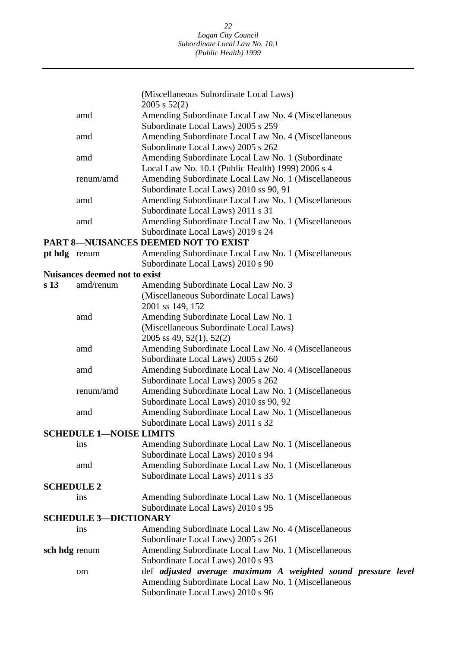|                              |                                      | (Miscellaneous Subordinate Local Laws)                                                                 |  |  |  |
|------------------------------|--------------------------------------|--------------------------------------------------------------------------------------------------------|--|--|--|
|                              |                                      | $2005$ s $52(2)$                                                                                       |  |  |  |
|                              | amd                                  | Amending Subordinate Local Law No. 4 (Miscellaneous                                                    |  |  |  |
|                              |                                      | Subordinate Local Laws) 2005 s 259                                                                     |  |  |  |
|                              | amd                                  | Amending Subordinate Local Law No. 4 (Miscellaneous                                                    |  |  |  |
|                              |                                      | Subordinate Local Laws) 2005 s 262                                                                     |  |  |  |
|                              | amd                                  | Amending Subordinate Local Law No. 1 (Subordinate<br>Local Law No. 10.1 (Public Health) 1999) 2006 s 4 |  |  |  |
|                              | renum/amd                            | Amending Subordinate Local Law No. 1 (Miscellaneous                                                    |  |  |  |
|                              |                                      | Subordinate Local Laws) 2010 ss 90, 91                                                                 |  |  |  |
|                              | amd                                  | Amending Subordinate Local Law No. 1 (Miscellaneous                                                    |  |  |  |
|                              |                                      | Subordinate Local Laws) 2011 s 31                                                                      |  |  |  |
|                              | amd                                  | Amending Subordinate Local Law No. 1 (Miscellaneous                                                    |  |  |  |
|                              |                                      | Subordinate Local Laws) 2019 s 24                                                                      |  |  |  |
|                              |                                      | <b>PART 8-NUISANCES DEEMED NOT TO EXIST</b>                                                            |  |  |  |
|                              | pt hdg renum                         | Amending Subordinate Local Law No. 1 (Miscellaneous                                                    |  |  |  |
|                              |                                      | Subordinate Local Laws) 2010 s 90                                                                      |  |  |  |
|                              | <b>Nuisances deemed not to exist</b> |                                                                                                        |  |  |  |
| s <sub>13</sub>              | amd/renum                            | Amending Subordinate Local Law No. 3                                                                   |  |  |  |
|                              |                                      | (Miscellaneous Subordinate Local Laws)                                                                 |  |  |  |
|                              |                                      | 2001 ss 149, 152                                                                                       |  |  |  |
|                              | amd                                  | Amending Subordinate Local Law No. 1                                                                   |  |  |  |
|                              |                                      | (Miscellaneous Subordinate Local Laws)                                                                 |  |  |  |
|                              |                                      | 2005 ss 49, 52(1), 52(2)                                                                               |  |  |  |
|                              | amd                                  | Amending Subordinate Local Law No. 4 (Miscellaneous                                                    |  |  |  |
|                              |                                      | Subordinate Local Laws) 2005 s 260                                                                     |  |  |  |
|                              | amd                                  | Amending Subordinate Local Law No. 4 (Miscellaneous                                                    |  |  |  |
|                              |                                      | Subordinate Local Laws) 2005 s 262                                                                     |  |  |  |
|                              | renum/amd                            | Amending Subordinate Local Law No. 1 (Miscellaneous                                                    |  |  |  |
|                              |                                      | Subordinate Local Laws) 2010 ss 90, 92                                                                 |  |  |  |
|                              | amd                                  | Amending Subordinate Local Law No. 1 (Miscellaneous                                                    |  |  |  |
|                              |                                      | Subordinate Local Laws) 2011 s 32                                                                      |  |  |  |
|                              | <b>SCHEDULE 1-NOISE LIMITS</b>       |                                                                                                        |  |  |  |
|                              | ins                                  | Amending Subordinate Local Law No. 1 (Miscellaneous                                                    |  |  |  |
|                              |                                      | Subordinate Local Laws) 2010 s 94                                                                      |  |  |  |
|                              | amd                                  | Amending Subordinate Local Law No. 1 (Miscellaneous<br>Subordinate Local Laws) 2011 s 33               |  |  |  |
|                              | <b>SCHEDULE 2</b>                    |                                                                                                        |  |  |  |
|                              | ins                                  | Amending Subordinate Local Law No. 1 (Miscellaneous                                                    |  |  |  |
|                              |                                      | Subordinate Local Laws) 2010 s 95                                                                      |  |  |  |
| <b>SCHEDULE 3-DICTIONARY</b> |                                      |                                                                                                        |  |  |  |
|                              | ins                                  | Amending Subordinate Local Law No. 4 (Miscellaneous                                                    |  |  |  |
|                              |                                      | Subordinate Local Laws) 2005 s 261                                                                     |  |  |  |
| sch hdg renum                |                                      | Amending Subordinate Local Law No. 1 (Miscellaneous                                                    |  |  |  |
|                              |                                      | Subordinate Local Laws) 2010 s 93                                                                      |  |  |  |
|                              | om                                   | def adjusted average maximum A weighted sound pressure level                                           |  |  |  |
|                              |                                      | Amending Subordinate Local Law No. 1 (Miscellaneous                                                    |  |  |  |
|                              |                                      | Subordinate Local Laws) 2010 s 96                                                                      |  |  |  |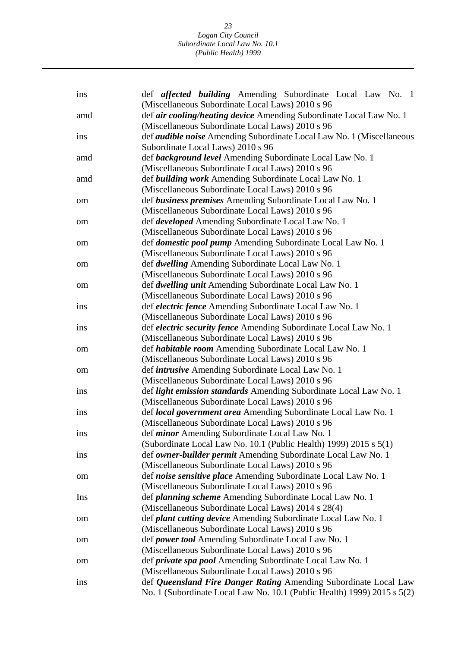| ins        | def <i>affected building</i> Amending Subordinate Local Law No. 1<br>(Miscellaneous Subordinate Local Laws) 2010 s 96       |
|------------|-----------------------------------------------------------------------------------------------------------------------------|
| amd        | def air cooling/heating device Amending Subordinate Local Law No. 1<br>(Miscellaneous Subordinate Local Laws) 2010 s 96     |
| ins        | def <i>audible noise</i> Amending Subordinate Local Law No. 1 (Miscellaneous                                                |
|            | Subordinate Local Laws) 2010 s 96                                                                                           |
| amd        | def <b>background level</b> Amending Subordinate Local Law No. 1                                                            |
|            | (Miscellaneous Subordinate Local Laws) 2010 s 96                                                                            |
| amd        | def <b>building work</b> Amending Subordinate Local Law No. 1                                                               |
|            | (Miscellaneous Subordinate Local Laws) 2010 s 96<br>def business premises Amending Subordinate Local Law No. 1              |
| om         | (Miscellaneous Subordinate Local Laws) 2010 s 96                                                                            |
| om         | def <i>developed</i> Amending Subordinate Local Law No. 1                                                                   |
|            | (Miscellaneous Subordinate Local Laws) 2010 s 96                                                                            |
| om         | def <i>domestic pool pump</i> Amending Subordinate Local Law No. 1                                                          |
|            | (Miscellaneous Subordinate Local Laws) 2010 s 96                                                                            |
| om         | def dwelling Amending Subordinate Local Law No. 1                                                                           |
|            | (Miscellaneous Subordinate Local Laws) 2010 s 96                                                                            |
| om         | def <i>dwelling unit</i> Amending Subordinate Local Law No. 1                                                               |
|            | (Miscellaneous Subordinate Local Laws) 2010 s 96                                                                            |
| ins        | def <i>electric fence</i> Amending Subordinate Local Law No. 1                                                              |
|            | (Miscellaneous Subordinate Local Laws) 2010 s 96                                                                            |
| ins        | def <i>electric security fence</i> Amending Subordinate Local Law No. 1                                                     |
|            | (Miscellaneous Subordinate Local Laws) 2010 s 96                                                                            |
| om         | def <i>habitable room</i> Amending Subordinate Local Law No. 1<br>(Miscellaneous Subordinate Local Laws) 2010 s 96          |
| om         | def <i>intrusive</i> Amending Subordinate Local Law No. 1                                                                   |
|            | (Miscellaneous Subordinate Local Laws) 2010 s 96                                                                            |
| <i>ins</i> | def light emission standards Amending Subordinate Local Law No. 1                                                           |
|            | (Miscellaneous Subordinate Local Laws) 2010 s 96                                                                            |
| ins        | def local government area Amending Subordinate Local Law No. 1                                                              |
|            | (Miscellaneous Subordinate Local Laws) 2010 s 96                                                                            |
| 1ns        | def <i>minor</i> Amending Subordinate Local Law No. 1                                                                       |
|            | (Subordinate Local Law No. 10.1 (Public Health) 1999) 2015 s 5(1)                                                           |
| ins        | def owner-builder permit Amending Subordinate Local Law No. 1                                                               |
|            | (Miscellaneous Subordinate Local Laws) 2010 s 96                                                                            |
| om         | def noise sensitive place Amending Subordinate Local Law No. 1                                                              |
|            | (Miscellaneous Subordinate Local Laws) 2010 s 96                                                                            |
| Ins        | def <i>planning scheme</i> Amending Subordinate Local Law No. 1                                                             |
|            | (Miscellaneous Subordinate Local Laws) 2014 s 28(4)<br>def <i>plant cutting device</i> Amending Subordinate Local Law No. 1 |
| om         | (Miscellaneous Subordinate Local Laws) 2010 s 96                                                                            |
| om         | def power tool Amending Subordinate Local Law No. 1                                                                         |
|            | (Miscellaneous Subordinate Local Laws) 2010 s 96                                                                            |
| om         | def <i>private spa pool</i> Amending Subordinate Local Law No. 1                                                            |
|            | (Miscellaneous Subordinate Local Laws) 2010 s 96                                                                            |
| <i>ins</i> | def Queensland Fire Danger Rating Amending Subordinate Local Law                                                            |
|            | No. 1 (Subordinate Local Law No. 10.1 (Public Health) 1999) 2015 s 5(2)                                                     |